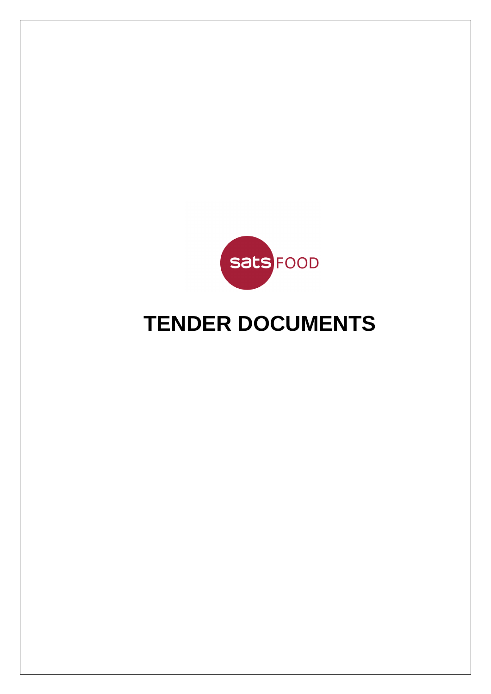

# **TENDER DOCUMENTS**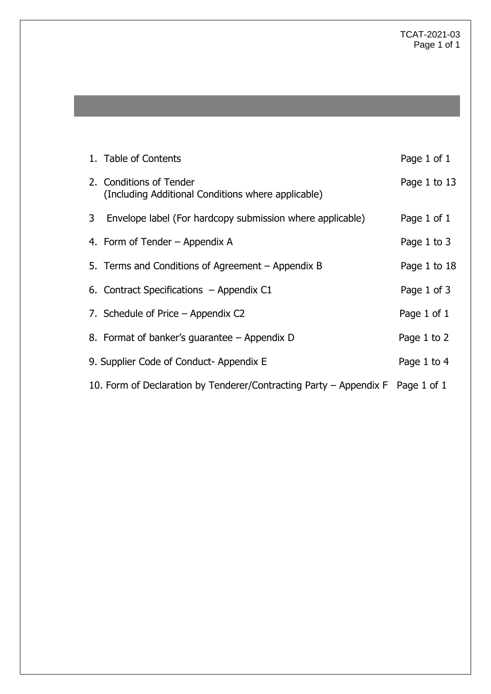|   | 1. Table of Contents                                                           | Page 1 of 1  |
|---|--------------------------------------------------------------------------------|--------------|
|   | 2. Conditions of Tender<br>(Including Additional Conditions where applicable)  | Page 1 to 13 |
| 3 | Envelope label (For hardcopy submission where applicable)                      | Page 1 of 1  |
|   | 4. Form of Tender – Appendix A                                                 | Page 1 to 3  |
|   | 5. Terms and Conditions of Agreement – Appendix B                              | Page 1 to 18 |
|   | 6. Contract Specifications $-$ Appendix C1                                     | Page 1 of 3  |
|   | 7. Schedule of Price – Appendix C2                                             | Page 1 of 1  |
|   | 8. Format of banker's guarantee – Appendix D                                   | Page 1 to 2  |
|   | 9. Supplier Code of Conduct-Appendix E                                         | Page 1 to 4  |
|   | 10. Form of Declaration by Tenderer/Contracting Party - Appendix F Page 1 of 1 |              |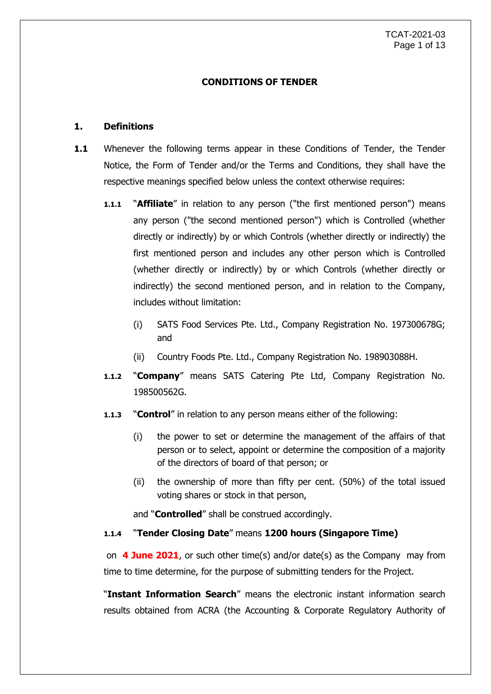### **CONDITIONS OF TENDER**

## **1. Definitions**

- **1.1** Whenever the following terms appear in these Conditions of Tender, the Tender Notice, the Form of Tender and/or the Terms and Conditions, they shall have the respective meanings specified below unless the context otherwise requires:
	- **1.1.1** "**Affiliate**" in relation to any person ("the first mentioned person") means any person ("the second mentioned person") which is Controlled (whether directly or indirectly) by or which Controls (whether directly or indirectly) the first mentioned person and includes any other person which is Controlled (whether directly or indirectly) by or which Controls (whether directly or indirectly) the second mentioned person, and in relation to the Company, includes without limitation:
		- (i) SATS Food Services Pte. Ltd., Company Registration No. 197300678G; and
		- (ii) Country Foods Pte. Ltd., Company Registration No. 198903088H.
	- **1.1.2** "**Company**" means SATS Catering Pte Ltd, Company Registration No. 198500562G.
	- **1.1.3** "**Control**" in relation to any person means either of the following:
		- (i) the power to set or determine the management of the affairs of that person or to select, appoint or determine the composition of a majority of the directors of board of that person; or
		- (ii) the ownership of more than fifty per cent. (50%) of the total issued voting shares or stock in that person,

and "**Controlled**" shall be construed accordingly.

# **1.1.4** "**Tender Closing Date**" means **1200 hours (Singapore Time)**

on **4 June 2021**, or such other time(s) and/or date(s) as the Company may from time to time determine, for the purpose of submitting tenders for the Project.

"**Instant Information Search**" means the electronic instant information search results obtained from ACRA (the Accounting & Corporate Regulatory Authority of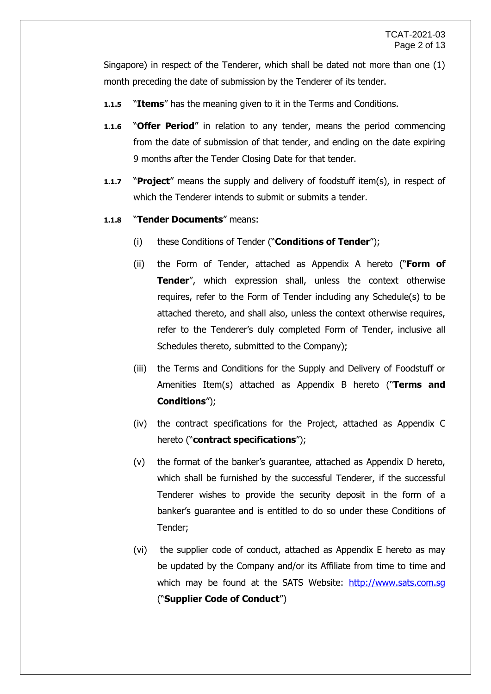Singapore) in respect of the Tenderer, which shall be dated not more than one (1) month preceding the date of submission by the Tenderer of its tender.

- **1.1.5** "**Items**" has the meaning given to it in the Terms and Conditions.
- **1.1.6** "**Offer Period**" in relation to any tender, means the period commencing from the date of submission of that tender, and ending on the date expiring 9 months after the Tender Closing Date for that tender.
- **1.1.7** "**Project**" means the supply and delivery of foodstuff item(s), in respect of which the Tenderer intends to submit or submits a tender.
- **1.1.8** "**Tender Documents**" means:
	- (i) these Conditions of Tender ("**Conditions of Tender**");
	- (ii) the Form of Tender, attached as Appendix A hereto ("**Form of Tender**", which expression shall, unless the context otherwise requires, refer to the Form of Tender including any Schedule(s) to be attached thereto, and shall also, unless the context otherwise requires, refer to the Tenderer's duly completed Form of Tender, inclusive all Schedules thereto, submitted to the Company);
	- (iii) the Terms and Conditions for the Supply and Delivery of Foodstuff or Amenities Item(s) attached as Appendix B hereto ("**Terms and Conditions**");
	- (iv) the contract specifications for the Project, attached as Appendix C hereto ("**contract specifications**");
	- (v) the format of the banker's guarantee, attached as Appendix D hereto, which shall be furnished by the successful Tenderer, if the successful Tenderer wishes to provide the security deposit in the form of a banker's guarantee and is entitled to do so under these Conditions of Tender;
	- (vi) the supplier code of conduct, attached as Appendix E hereto as may be updated by the Company and/or its Affiliate from time to time and which may be found at the SATS Website: http://www.sats.com.sq ("**Supplier Code of Conduct**")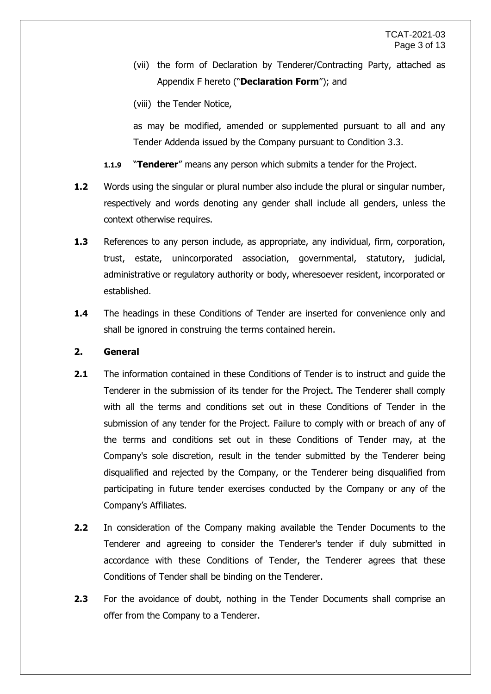- (vii) the form of Declaration by Tenderer/Contracting Party, attached as Appendix F hereto ("**Declaration Form**"); and
- (viii) the Tender Notice,

as may be modified, amended or supplemented pursuant to all and any Tender Addenda issued by the Company pursuant to Condition 3.3.

- **1.1.9** "**Tenderer**" means any person which submits a tender for the Project.
- **1.2** Words using the singular or plural number also include the plural or singular number, respectively and words denoting any gender shall include all genders, unless the context otherwise requires.
- **1.3** References to any person include, as appropriate, any individual, firm, corporation, trust, estate, unincorporated association, governmental, statutory, judicial, administrative or regulatory authority or body, wheresoever resident, incorporated or established.
- **1.4** The headings in these Conditions of Tender are inserted for convenience only and shall be ignored in construing the terms contained herein.

# **2. General**

- **2.1** The information contained in these Conditions of Tender is to instruct and guide the Tenderer in the submission of its tender for the Project. The Tenderer shall comply with all the terms and conditions set out in these Conditions of Tender in the submission of any tender for the Project. Failure to comply with or breach of any of the terms and conditions set out in these Conditions of Tender may, at the Company's sole discretion, result in the tender submitted by the Tenderer being disqualified and rejected by the Company, or the Tenderer being disqualified from participating in future tender exercises conducted by the Company or any of the Company's Affiliates.
- **2.2** In consideration of the Company making available the Tender Documents to the Tenderer and agreeing to consider the Tenderer's tender if duly submitted in accordance with these Conditions of Tender, the Tenderer agrees that these Conditions of Tender shall be binding on the Tenderer.
- **2.3** For the avoidance of doubt, nothing in the Tender Documents shall comprise an offer from the Company to a Tenderer.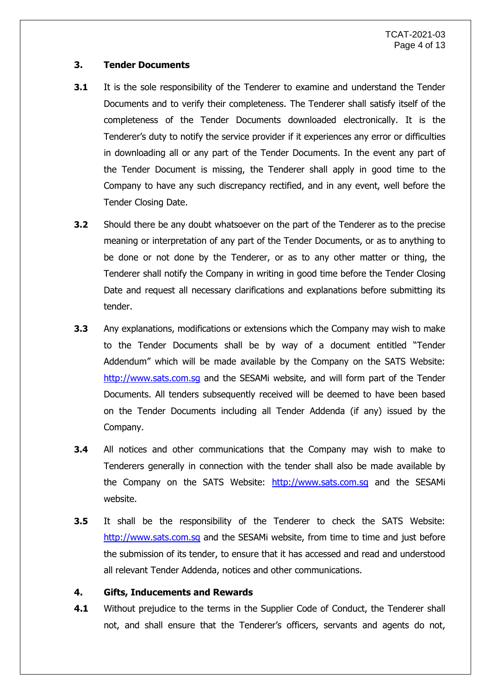# **3. Tender Documents**

- **3.1** It is the sole responsibility of the Tenderer to examine and understand the Tender Documents and to verify their completeness. The Tenderer shall satisfy itself of the completeness of the Tender Documents downloaded electronically. It is the Tenderer's duty to notify the service provider if it experiences any error or difficulties in downloading all or any part of the Tender Documents. In the event any part of the Tender Document is missing, the Tenderer shall apply in good time to the Company to have any such discrepancy rectified, and in any event, well before the Tender Closing Date.
- **3.2** Should there be any doubt whatsoever on the part of the Tenderer as to the precise meaning or interpretation of any part of the Tender Documents, or as to anything to be done or not done by the Tenderer, or as to any other matter or thing, the Tenderer shall notify the Company in writing in good time before the Tender Closing Date and request all necessary clarifications and explanations before submitting its tender.
- **3.3** Any explanations, modifications or extensions which the Company may wish to make to the Tender Documents shall be by way of a document entitled "Tender Addendum" which will be made available by the Company on the SATS Website: [http://www.sats.com.sg](http://www.sats.com.sg/) and the SESAMi website, and will form part of the Tender Documents. All tenders subsequently received will be deemed to have been based on the Tender Documents including all Tender Addenda (if any) issued by the Company.
- **3.4** All notices and other communications that the Company may wish to make to Tenderers generally in connection with the tender shall also be made available by the Company on the SATS Website: [http://www.sats.com.sg](http://www.sats.com.sg/) and the SESAMi website.
- **3.5** It shall be the responsibility of the Tenderer to check the SATS Website: [http://www.sats.com.sg](http://www.sats.com.sg/) and the SESAMi website, from time to time and just before the submission of its tender, to ensure that it has accessed and read and understood all relevant Tender Addenda, notices and other communications.

### **4. Gifts, Inducements and Rewards**

**4.1** Without prejudice to the terms in the Supplier Code of Conduct, the Tenderer shall not, and shall ensure that the Tenderer's officers, servants and agents do not,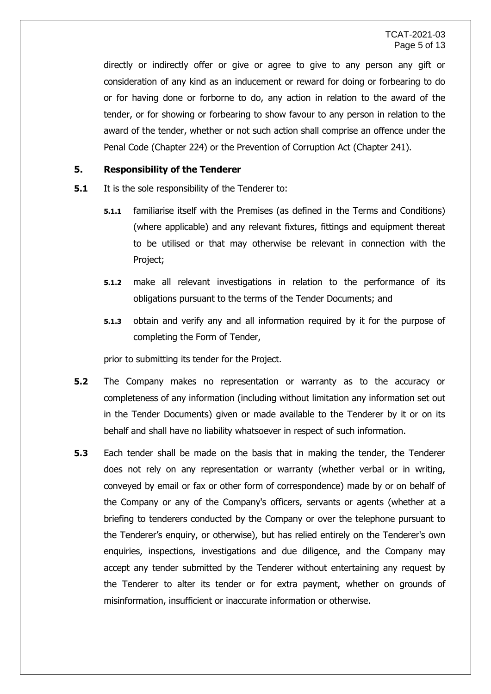directly or indirectly offer or give or agree to give to any person any gift or consideration of any kind as an inducement or reward for doing or forbearing to do or for having done or forborne to do, any action in relation to the award of the tender, or for showing or forbearing to show favour to any person in relation to the award of the tender, whether or not such action shall comprise an offence under the Penal Code (Chapter 224) or the Prevention of Corruption Act (Chapter 241).

### **5. Responsibility of the Tenderer**

- **5.1** It is the sole responsibility of the Tenderer to:
	- **5.1.1** familiarise itself with the Premises (as defined in the Terms and Conditions) (where applicable) and any relevant fixtures, fittings and equipment thereat to be utilised or that may otherwise be relevant in connection with the Project;
	- **5.1.2** make all relevant investigations in relation to the performance of its obligations pursuant to the terms of the Tender Documents; and
	- **5.1.3** obtain and verify any and all information required by it for the purpose of completing the Form of Tender,

prior to submitting its tender for the Project.

- **5.2** The Company makes no representation or warranty as to the accuracy or completeness of any information (including without limitation any information set out in the Tender Documents) given or made available to the Tenderer by it or on its behalf and shall have no liability whatsoever in respect of such information.
- **5.3** Each tender shall be made on the basis that in making the tender, the Tenderer does not rely on any representation or warranty (whether verbal or in writing, conveyed by email or fax or other form of correspondence) made by or on behalf of the Company or any of the Company's officers, servants or agents (whether at a briefing to tenderers conducted by the Company or over the telephone pursuant to the Tenderer's enquiry, or otherwise), but has relied entirely on the Tenderer's own enquiries, inspections, investigations and due diligence, and the Company may accept any tender submitted by the Tenderer without entertaining any request by the Tenderer to alter its tender or for extra payment, whether on grounds of misinformation, insufficient or inaccurate information or otherwise.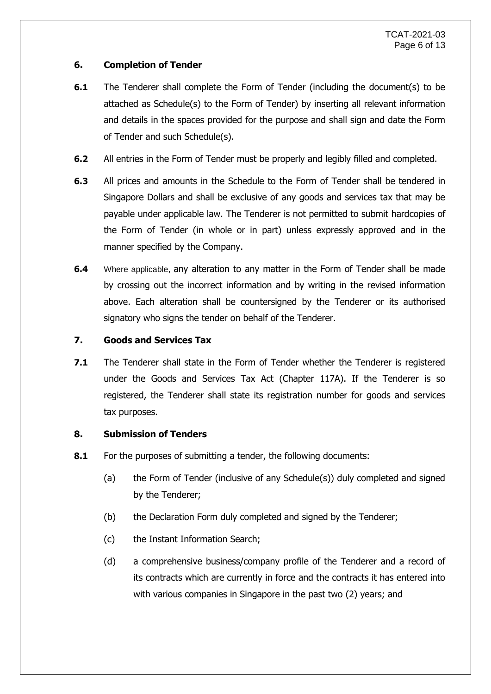# **6. Completion of Tender**

- **6.1** The Tenderer shall complete the Form of Tender (including the document(s) to be attached as Schedule(s) to the Form of Tender) by inserting all relevant information and details in the spaces provided for the purpose and shall sign and date the Form of Tender and such Schedule(s).
- **6.2** All entries in the Form of Tender must be properly and legibly filled and completed.
- **6.3** All prices and amounts in the Schedule to the Form of Tender shall be tendered in Singapore Dollars and shall be exclusive of any goods and services tax that may be payable under applicable law. The Tenderer is not permitted to submit hardcopies of the Form of Tender (in whole or in part) unless expressly approved and in the manner specified by the Company.
- **6.4** Where applicable, any alteration to any matter in the Form of Tender shall be made by crossing out the incorrect information and by writing in the revised information above. Each alteration shall be countersigned by the Tenderer or its authorised signatory who signs the tender on behalf of the Tenderer.

# **7. Goods and Services Tax**

**7.1** The Tenderer shall state in the Form of Tender whether the Tenderer is registered under the Goods and Services Tax Act (Chapter 117A). If the Tenderer is so registered, the Tenderer shall state its registration number for goods and services tax purposes.

# **8. Submission of Tenders**

- **8.1** For the purposes of submitting a tender, the following documents:
	- (a) the Form of Tender (inclusive of any Schedule(s)) duly completed and signed by the Tenderer;
	- (b) the Declaration Form duly completed and signed by the Tenderer;
	- (c) the Instant Information Search;
	- (d) a comprehensive business/company profile of the Tenderer and a record of its contracts which are currently in force and the contracts it has entered into with various companies in Singapore in the past two (2) years; and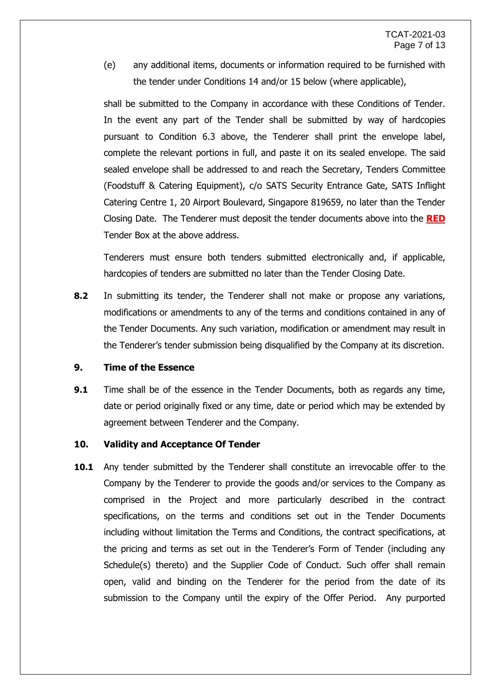(e) any additional items, documents or information required to be furnished with the tender under Conditions [14](#page-12-0) and/or 15 below (where applicable),

shall be submitted to the Company in accordance with these Conditions of Tender. In the event any part of the Tender shall be submitted by way of hardcopies pursuant to Condition 6.3 above, the Tenderer shall print the envelope label, complete the relevant portions in full, and paste it on its sealed envelope. The said sealed envelope shall be addressed to and reach the Secretary, Tenders Committee (Foodstuff & Catering Equipment), c/o SATS Security Entrance Gate, SATS Inflight Catering Centre 1, 20 Airport Boulevard, Singapore 819659, no later than the Tender Closing Date. The Tenderer must deposit the tender documents above into the **RED** Tender Box at the above address.

Tenderers must ensure both tenders submitted electronically and, if applicable, hardcopies of tenders are submitted no later than the Tender Closing Date.

**8.2** In submitting its tender, the Tenderer shall not make or propose any variations, modifications or amendments to any of the terms and conditions contained in any of the Tender Documents. Any such variation, modification or amendment may result in the Tenderer's tender submission being disqualified by the Company at its discretion.

## **9. Time of the Essence**

**9.1** Time shall be of the essence in the Tender Documents, both as regards any time, date or period originally fixed or any time, date or period which may be extended by agreement between Tenderer and the Company.

### **10. Validity and Acceptance Of Tender**

<span id="page-8-0"></span>**10.1** Any tender submitted by the Tenderer shall constitute an irrevocable offer to the Company by the Tenderer to provide the goods and/or services to the Company as comprised in the Project and more particularly described in the contract specifications, on the terms and conditions set out in the Tender Documents including without limitation the Terms and Conditions, the contract specifications, at the pricing and terms as set out in the Tenderer's Form of Tender (including any Schedule(s) thereto) and the Supplier Code of Conduct. Such offer shall remain open, valid and binding on the Tenderer for the period from the date of its submission to the Company until the expiry of the Offer Period. Any purported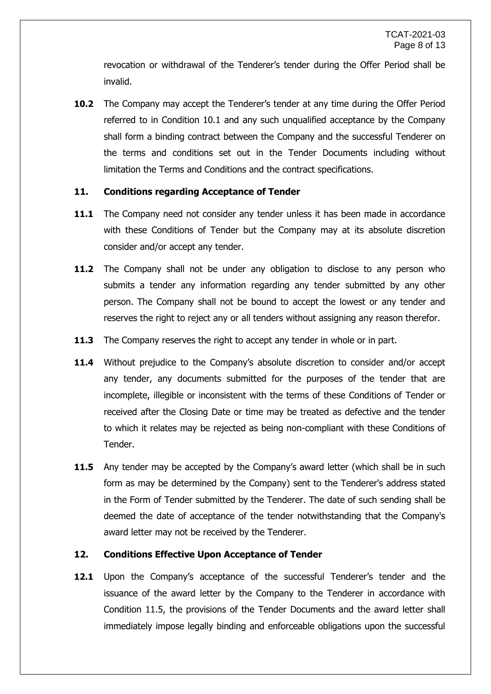revocation or withdrawal of the Tenderer's tender during the Offer Period shall be invalid.

**10.2** The Company may accept the Tenderer's tender at any time during the Offer Period referred to in Condition [10.1](#page-8-0) and any such unqualified acceptance by the Company shall form a binding contract between the Company and the successful Tenderer on the terms and conditions set out in the Tender Documents including without limitation the Terms and Conditions and the contract specifications.

### **11. Conditions regarding Acceptance of Tender**

- **11.1** The Company need not consider any tender unless it has been made in accordance with these Conditions of Tender but the Company may at its absolute discretion consider and/or accept any tender.
- **11.2** The Company shall not be under any obligation to disclose to any person who submits a tender any information regarding any tender submitted by any other person. The Company shall not be bound to accept the lowest or any tender and reserves the right to reject any or all tenders without assigning any reason therefor.
- **11.3** The Company reserves the right to accept any tender in whole or in part.
- **11.4** Without prejudice to the Company's absolute discretion to consider and/or accept any tender, any documents submitted for the purposes of the tender that are incomplete, illegible or inconsistent with the terms of these Conditions of Tender or received after the Closing Date or time may be treated as defective and the tender to which it relates may be rejected as being non-compliant with these Conditions of Tender.
- <span id="page-9-0"></span>**11.5** Any tender may be accepted by the Company's award letter (which shall be in such form as may be determined by the Company) sent to the Tenderer's address stated in the Form of Tender submitted by the Tenderer. The date of such sending shall be deemed the date of acceptance of the tender notwithstanding that the Company's award letter may not be received by the Tenderer.

# **12. Conditions Effective Upon Acceptance of Tender**

**12.1** Upon the Company's acceptance of the successful Tenderer's tender and the issuance of the award letter by the Company to the Tenderer in accordance with Condition [11.5,](#page-9-0) the provisions of the Tender Documents and the award letter shall immediately impose legally binding and enforceable obligations upon the successful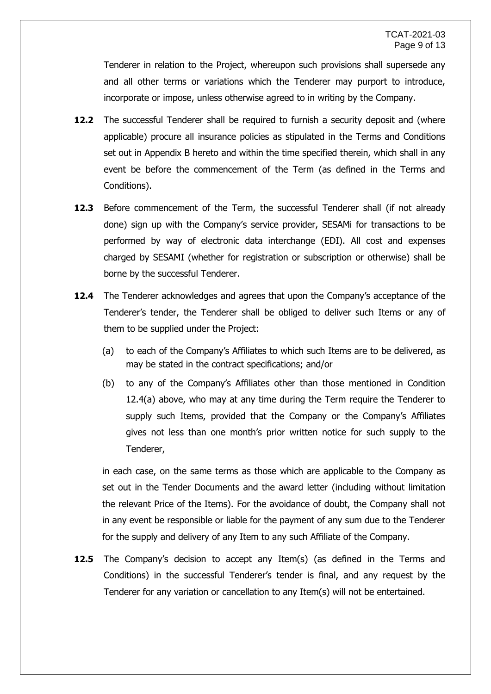Tenderer in relation to the Project, whereupon such provisions shall supersede any and all other terms or variations which the Tenderer may purport to introduce, incorporate or impose, unless otherwise agreed to in writing by the Company.

- **12.2** The successful Tenderer shall be required to furnish a security deposit and (where applicable) procure all insurance policies as stipulated in the Terms and Conditions set out in Appendix B hereto and within the time specified therein, which shall in any event be before the commencement of the Term (as defined in the Terms and Conditions).
- **12.3** Before commencement of the Term, the successful Tenderer shall (if not already done) sign up with the Company's service provider, SESAMi for transactions to be performed by way of electronic data interchange (EDI). All cost and expenses charged by SESAMI (whether for registration or subscription or otherwise) shall be borne by the successful Tenderer.
- **12.4** The Tenderer acknowledges and agrees that upon the Company's acceptance of the Tenderer's tender, the Tenderer shall be obliged to deliver such Items or any of them to be supplied under the Project:
	- (a) to each of the Company's Affiliates to which such Items are to be delivered, as may be stated in the contract specifications; and/or
	- (b) to any of the Company's Affiliates other than those mentioned in Condition 12.4(a) above, who may at any time during the Term require the Tenderer to supply such Items, provided that the Company or the Company's Affiliates gives not less than one month's prior written notice for such supply to the Tenderer,

in each case, on the same terms as those which are applicable to the Company as set out in the Tender Documents and the award letter (including without limitation the relevant Price of the Items). For the avoidance of doubt, the Company shall not in any event be responsible or liable for the payment of any sum due to the Tenderer for the supply and delivery of any Item to any such Affiliate of the Company.

**12.5** The Company's decision to accept any Item(s) (as defined in the Terms and Conditions) in the successful Tenderer's tender is final, and any request by the Tenderer for any variation or cancellation to any Item(s) will not be entertained.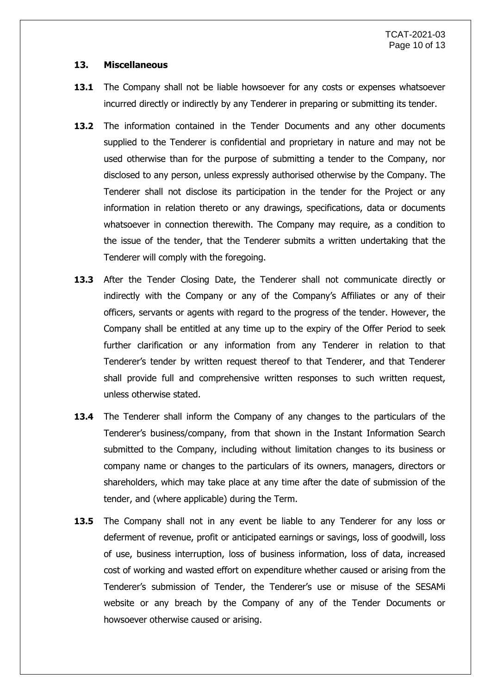#### **13. Miscellaneous**

- **13.1** The Company shall not be liable howsoever for any costs or expenses whatsoever incurred directly or indirectly by any Tenderer in preparing or submitting its tender.
- **13.2** The information contained in the Tender Documents and any other documents supplied to the Tenderer is confidential and proprietary in nature and may not be used otherwise than for the purpose of submitting a tender to the Company, nor disclosed to any person, unless expressly authorised otherwise by the Company. The Tenderer shall not disclose its participation in the tender for the Project or any information in relation thereto or any drawings, specifications, data or documents whatsoever in connection therewith. The Company may require, as a condition to the issue of the tender, that the Tenderer submits a written undertaking that the Tenderer will comply with the foregoing.
- **13.3** After the Tender Closing Date, the Tenderer shall not communicate directly or indirectly with the Company or any of the Company's Affiliates or any of their officers, servants or agents with regard to the progress of the tender. However, the Company shall be entitled at any time up to the expiry of the Offer Period to seek further clarification or any information from any Tenderer in relation to that Tenderer's tender by written request thereof to that Tenderer, and that Tenderer shall provide full and comprehensive written responses to such written request, unless otherwise stated.
- **13.4** The Tenderer shall inform the Company of any changes to the particulars of the Tenderer's business/company, from that shown in the Instant Information Search submitted to the Company, including without limitation changes to its business or company name or changes to the particulars of its owners, managers, directors or shareholders, which may take place at any time after the date of submission of the tender, and (where applicable) during the Term.
- **13.5** The Company shall not in any event be liable to any Tenderer for any loss or deferment of revenue, profit or anticipated earnings or savings, loss of goodwill, loss of use, business interruption, loss of business information, loss of data, increased cost of working and wasted effort on expenditure whether caused or arising from the Tenderer's submission of Tender, the Tenderer's use or misuse of the SESAMi website or any breach by the Company of any of the Tender Documents or howsoever otherwise caused or arising.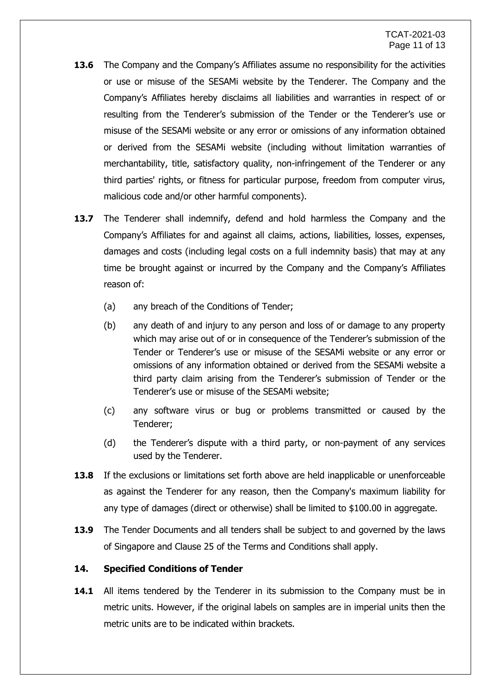- **13.6** The Company and the Company's Affiliates assume no responsibility for the activities or use or misuse of the SESAMi website by the Tenderer. The Company and the Company's Affiliates hereby disclaims all liabilities and warranties in respect of or resulting from the Tenderer's submission of the Tender or the Tenderer's use or misuse of the SESAMi website or any error or omissions of any information obtained or derived from the SESAMi website (including without limitation warranties of merchantability, title, satisfactory quality, non-infringement of the Tenderer or any third parties' rights, or fitness for particular purpose, freedom from computer virus, malicious code and/or other harmful components).
- **13.7** The Tenderer shall indemnify, defend and hold harmless the Company and the Company's Affiliates for and against all claims, actions, liabilities, losses, expenses, damages and costs (including legal costs on a full indemnity basis) that may at any time be brought against or incurred by the Company and the Company's Affiliates reason of:
	- (a) any breach of the Conditions of Tender;
	- (b) any death of and injury to any person and loss of or damage to any property which may arise out of or in consequence of the Tenderer's submission of the Tender or Tenderer's use or misuse of the SESAMi website or any error or omissions of any information obtained or derived from the SESAMi website a third party claim arising from the Tenderer's submission of Tender or the Tenderer's use or misuse of the SESAMi website;
	- (c) any software virus or bug or problems transmitted or caused by the Tenderer;
	- (d) the Tenderer's dispute with a third party, or non-payment of any services used by the Tenderer.
- **13.8** If the exclusions or limitations set forth above are held inapplicable or unenforceable as against the Tenderer for any reason, then the Company's maximum liability for any type of damages (direct or otherwise) shall be limited to \$100.00 in aggregate.
- **13.9** The Tender Documents and all tenders shall be subject to and governed by the laws of Singapore and Clause 25 of the Terms and Conditions shall apply.

# <span id="page-12-0"></span>**14. Specified Conditions of Tender**

**14.1** All items tendered by the Tenderer in its submission to the Company must be in metric units. However, if the original labels on samples are in imperial units then the metric units are to be indicated within brackets.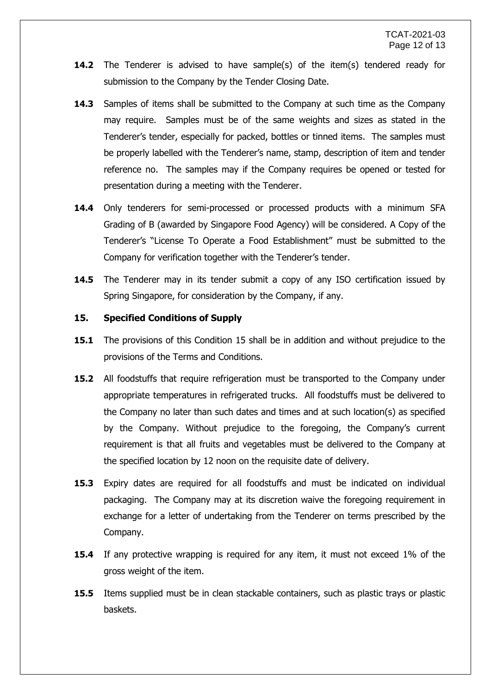- **14.2** The Tenderer is advised to have sample(s) of the item(s) tendered ready for submission to the Company by the Tender Closing Date.
- **14.3** Samples of items shall be submitted to the Company at such time as the Company may require. Samples must be of the same weights and sizes as stated in the Tenderer's tender, especially for packed, bottles or tinned items. The samples must be properly labelled with the Tenderer's name, stamp, description of item and tender reference no. The samples may if the Company requires be opened or tested for presentation during a meeting with the Tenderer.
- **14.4** Only tenderers for semi-processed or processed products with a minimum SFA Grading of B (awarded by Singapore Food Agency) will be considered. A Copy of the Tenderer's "License To Operate a Food Establishment" must be submitted to the Company for verification together with the Tenderer's tender.
- **14.5** The Tenderer may in its tender submit a copy of any ISO certification issued by Spring Singapore, for consideration by the Company, if any.

### **15. Specified Conditions of Supply**

- **15.1** The provisions of this Condition 15 shall be in addition and without prejudice to the provisions of the Terms and Conditions.
- **15.2** All foodstuffs that require refrigeration must be transported to the Company under appropriate temperatures in refrigerated trucks. All foodstuffs must be delivered to the Company no later than such dates and times and at such location(s) as specified by the Company. Without prejudice to the foregoing, the Company's current requirement is that all fruits and vegetables must be delivered to the Company at the specified location by 12 noon on the requisite date of delivery.
- **15.3** Expiry dates are required for all foodstuffs and must be indicated on individual packaging. The Company may at its discretion waive the foregoing requirement in exchange for a letter of undertaking from the Tenderer on terms prescribed by the Company.
- **15.4** If any protective wrapping is required for any item, it must not exceed 1% of the gross weight of the item.
- **15.5** Items supplied must be in clean stackable containers, such as plastic trays or plastic baskets.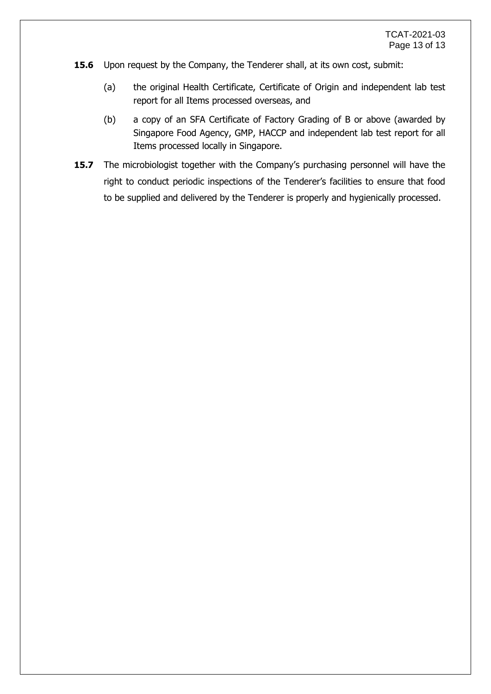- **15.6** Upon request by the Company, the Tenderer shall, at its own cost, submit:
	- (a) the original Health Certificate, Certificate of Origin and independent lab test report for all Items processed overseas, and
	- (b) a copy of an SFA Certificate of Factory Grading of B or above (awarded by Singapore Food Agency, GMP, HACCP and independent lab test report for all Items processed locally in Singapore.
- **15.7** The microbiologist together with the Company's purchasing personnel will have the right to conduct periodic inspections of the Tenderer's facilities to ensure that food to be supplied and delivered by the Tenderer is properly and hygienically processed.